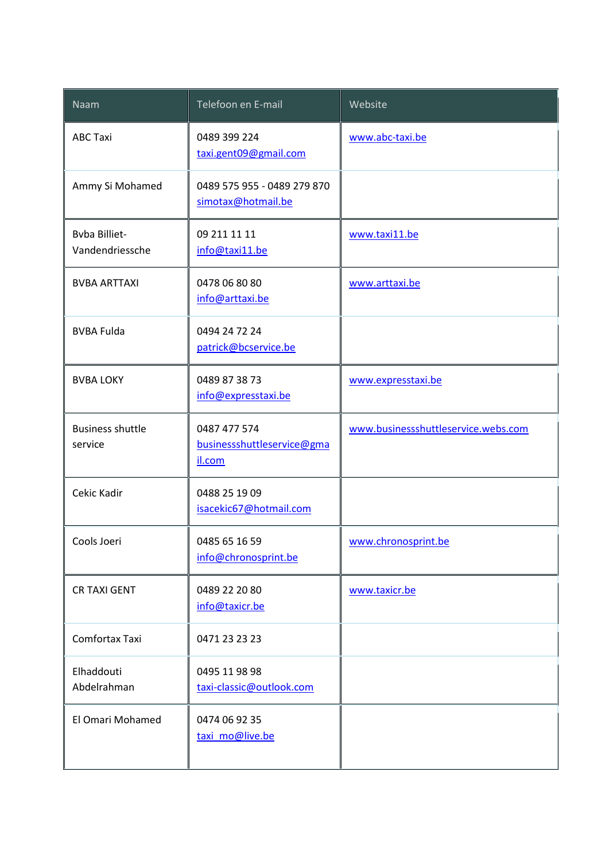| Naam                                    | Telefoon en E-mail                                   | Website                             |
|-----------------------------------------|------------------------------------------------------|-------------------------------------|
| <b>ABC Taxi</b>                         | 0489 399 224<br>taxi.gent09@gmail.com                | www.abc-taxi.be                     |
| Ammy Si Mohamed                         | 0489 575 955 - 0489 279 870<br>simotax@hotmail.be    |                                     |
| <b>Byba Billiet-</b><br>Vandendriessche | 09 211 11 11<br>info@taxi11.be                       | www.taxi11.be                       |
| <b>BVBA ARTTAXI</b>                     | 0478 06 80 80<br>info@arttaxi.be                     | www.arttaxi.be                      |
| <b>BVBA Fulda</b>                       | 0494 24 72 24<br>patrick@bcservice.be                |                                     |
| <b>BVBA LOKY</b>                        | 0489 87 38 73<br>info@expresstaxi.be                 | www.expresstaxi.be                  |
| <b>Business shuttle</b><br>service      | 0487 477 574<br>businessshuttleservice@gma<br>il.com | www.businessshuttleservice.webs.com |
| Cekic Kadir                             | 0488 25 19 09<br>isacekic67@hotmail.com              |                                     |
| Cools Joeri                             | 0485 65 16 59<br>info@chronosprint.be                | www.chronosprint.be                 |
| <b>CR TAXI GENT</b>                     | 0489 22 20 80<br>info@taxicr.be                      | www.taxicr.be                       |
| Comfortax Taxi                          | 0471 23 23 23                                        |                                     |
| Elhaddouti<br>Abdelrahman               | 0495 11 98 98<br>taxi-classic@outlook.com            |                                     |
| El Omari Mohamed                        | 0474 06 92 35<br>taxi mo@live.be                     |                                     |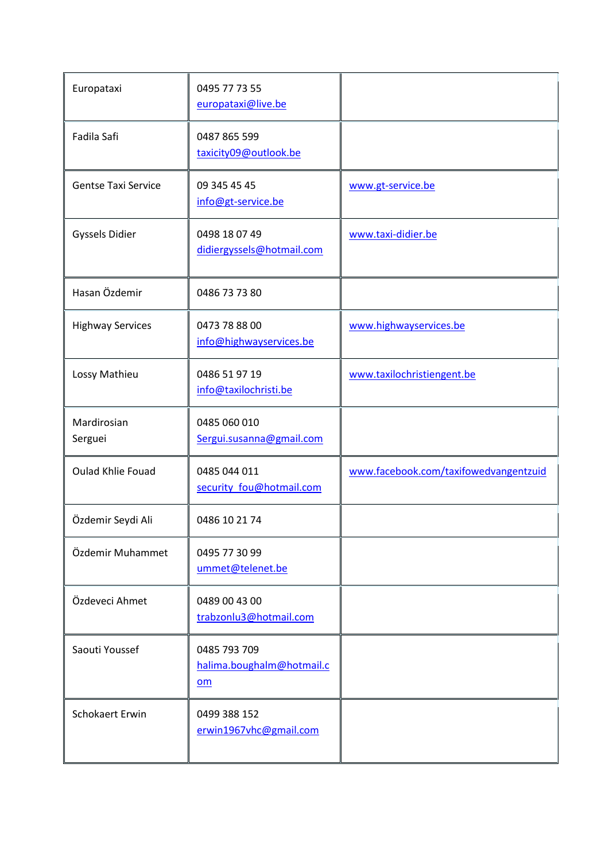| Europataxi                 | 0495 77 73 55<br>europataxi@live.be             |                                       |
|----------------------------|-------------------------------------------------|---------------------------------------|
| Fadila Safi                | 0487 865 599<br>taxicity09@outlook.be           |                                       |
| <b>Gentse Taxi Service</b> | 09 345 45 45<br>info@gt-service.be              | www.gt-service.be                     |
| <b>Gyssels Didier</b>      | 0498 18 07 49<br>didiergyssels@hotmail.com      | www.taxi-didier.be                    |
| Hasan Özdemir              | 0486 73 73 80                                   |                                       |
| <b>Highway Services</b>    | 0473 78 88 00<br>info@highwayservices.be        | www.highwayservices.be                |
| Lossy Mathieu              | 0486 51 97 19<br>info@taxilochristi.be          | www.taxilochristiengent.be            |
| Mardirosian<br>Serguei     | 0485 060 010<br>Sergui.susanna@gmail.com        |                                       |
| <b>Oulad Khlie Fouad</b>   | 0485 044 011<br>security_fou@hotmail.com        | www.facebook.com/taxifowedvangentzuid |
| Özdemir Seydi Ali          | 0486 10 21 74                                   |                                       |
| Özdemir Muhammet           | 0495 77 30 99<br>ummet@telenet.be               |                                       |
| Özdeveci Ahmet             | 0489 00 43 00<br>trabzonlu3@hotmail.com         |                                       |
| Saouti Youssef             | 0485 793 709<br>halima.boughalm@hotmail.c<br>om |                                       |
| Schokaert Erwin            | 0499 388 152<br>erwin1967vhc@gmail.com          |                                       |